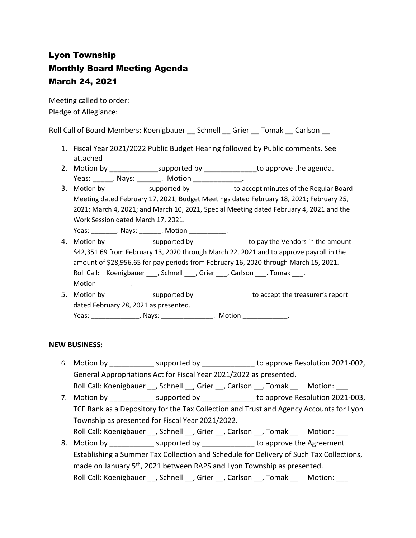# Lyon Township Monthly Board Meeting Agenda March 24, 2021

Meeting called to order: Pledge of Allegiance:

Roll Call of Board Members: Koenigbauer \_\_ Schnell \_\_ Grier \_\_ Tomak \_\_ Carlson \_\_

- 1. Fiscal Year 2021/2022 Public Budget Hearing followed by Public comments. See attached
- 2. Motion by \_\_\_\_\_\_\_\_\_\_\_\_\_\_\_\_\_\_supported by \_\_\_\_\_\_\_\_\_\_\_\_\_\_\_to approve the agenda. Yeas: \_\_\_\_\_\_\_. Nays: \_\_\_\_\_\_\_\_. Motion \_\_\_\_\_\_\_\_\_\_\_\_\_\_.
- 3. Motion by \_\_\_\_\_\_\_\_\_\_\_\_\_ supported by \_\_\_\_\_\_\_\_\_\_\_ to accept minutes of the Regular Board Meeting dated February 17, 2021, Budget Meetings dated February 18, 2021; February 25, 2021; March 4, 2021; and March 10, 2021, Special Meeting dated February 4, 2021 and the Work Session dated March 17, 2021.

Yeas: \_\_\_\_\_\_\_\_\_. Nays: \_\_\_\_\_\_\_. Motion \_\_\_\_\_\_\_\_\_\_\_.

- 4. Motion by **Example 3** supported by **Example 2** to pay the Vendors in the amount \$42,351.69 from February 13, 2020 through March 22, 2021 and to approve payroll in the amount of \$28,956.65 for pay periods from February 16, 2020 through March 15, 2021. Roll Call: Koenigbauer , Schnell , Grier , Carlson . Tomak . Motion \_\_\_\_\_\_\_\_\_\_.
- 5. Motion by \_\_\_\_\_\_\_\_\_\_\_\_ supported by \_\_\_\_\_\_\_\_\_\_\_\_\_\_\_ to accept the treasurer's report dated February 28, 2021 as presented. Yeas: \_\_\_\_\_\_\_\_\_\_\_\_\_\_\_\_. Nays: \_\_\_\_\_\_\_\_\_\_\_\_\_\_\_\_. Motion \_\_\_\_\_\_\_\_\_\_\_\_\_\_.

## **NEW BUSINESS:**

- 6. Motion by **Example 2021-002**, supported by **Example 2011-002**, to approve Resolution 2021-002, General Appropriations Act for Fiscal Year 2021/2022 as presented. Roll Call: Koenigbauer \_\_, Schnell \_\_, Grier \_\_, Carlson \_\_, Tomak \_\_\_ Motion: \_\_
- 7. Motion by \_\_\_\_\_\_\_\_\_\_\_\_\_ supported by \_\_\_\_\_\_\_\_\_\_\_\_\_\_\_ to approve Resolution 2021-003, TCF Bank as a Depository for the Tax Collection and Trust and Agency Accounts for Lyon Township as presented for Fiscal Year 2021/2022. Roll Call: Koenigbauer \_\_, Schnell \_\_, Grier \_\_, Carlson \_\_, Tomak \_\_ Motion: \_\_\_
- 8. Motion by \_\_\_\_\_\_\_\_\_\_\_\_\_ supported by \_\_\_\_\_\_\_\_\_\_\_\_\_ to approve the Agreement Establishing a Summer Tax Collection and Schedule for Delivery of Such Tax Collections, made on January 5<sup>th</sup>, 2021 between RAPS and Lyon Township as presented. Roll Call: Koenigbauer \_\_, Schnell \_\_, Grier \_\_, Carlson \_\_, Tomak \_\_ Motion: \_\_\_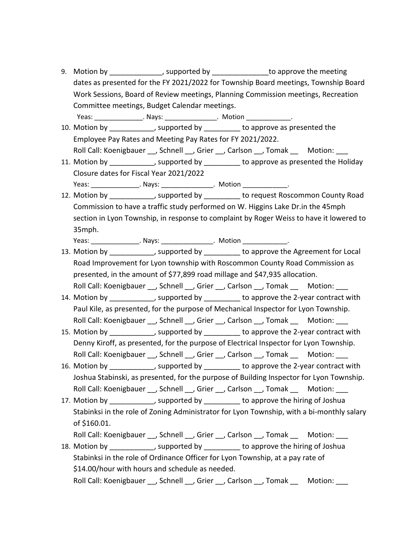- 9. Motion by **Example 2**, supported by **Example 2** to approve the meeting dates as presented for the FY 2021/2022 for Township Board meetings, Township Board Work Sessions, Board of Review meetings, Planning Commission meetings, Recreation Committee meetings, Budget Calendar meetings.
- Yeas: \_\_\_\_\_\_\_\_\_\_\_\_\_\_\_\_. Nays: \_\_\_\_\_\_\_\_\_\_\_\_\_\_\_\_. Motion \_\_\_\_\_\_\_\_\_\_\_\_\_. 10. Motion by \_\_\_\_\_\_\_\_\_\_\_, supported by \_\_\_\_\_\_\_\_\_ to approve as presented the Employee Pay Rates and Meeting Pay Rates for FY 2021/2022. Roll Call: Koenigbauer \_\_, Schnell \_\_, Grier \_\_, Carlson \_\_, Tomak \_\_\_ Motion: \_\_
- 11. Motion by https://wild.com/ending-to-approve as presented the Holiday Closure dates for Fiscal Year 2021/2022 Yeas: \_\_\_\_\_\_\_\_\_\_\_\_\_\_\_\_. Nays: \_\_\_\_\_\_\_\_\_\_\_\_\_\_\_\_\_. Motion \_\_\_\_\_\_\_\_\_\_\_\_\_\_\_.

12. Motion by \_\_\_\_\_\_\_\_\_\_, supported by \_\_\_\_\_\_\_\_ to request Roscommon County Road Commission to have a traffic study performed on W. Higgins Lake Dr.in the 45mph section in Lyon Township, in response to complaint by Roger Weiss to have it lowered to 35mph.

Yeas: \_\_\_\_\_\_\_\_\_\_\_\_\_\_\_\_\_. Nays: \_\_\_\_\_\_\_\_\_\_\_\_\_\_\_\_. Motion \_\_\_\_\_\_\_\_\_\_\_\_\_\_.

- 13. Motion by \_\_\_\_\_\_\_\_\_\_\_\_, supported by \_\_\_\_\_\_\_\_\_ to approve the Agreement for Local Road Improvement for Lyon township with Roscommon County Road Commission as presented, in the amount of \$77,899 road millage and \$47,935 allocation. Roll Call: Koenigbauer , Schnell , Grier , Carlson , Tomak Motion:
- 14. Motion by the supported by the approve the 2-year contract with Paul Kile, as presented, for the purpose of Mechanical Inspector for Lyon Township. Roll Call: Koenigbauer \_\_, Schnell \_\_, Grier \_\_, Carlson \_\_, Tomak \_\_ Motion: \_\_\_
- 15. Motion by \_\_\_\_\_\_\_\_\_\_\_, supported by \_\_\_\_\_\_\_\_\_ to approve the 2-year contract with Denny Kiroff, as presented, for the purpose of Electrical Inspector for Lyon Township. Roll Call: Koenigbauer \_\_, Schnell \_\_, Grier \_\_, Carlson \_\_, Tomak \_\_ Motion: \_\_\_
- 16. Motion by \_\_\_\_\_\_\_\_\_\_\_, supported by \_\_\_\_\_\_\_\_\_ to approve the 2-year contract with Joshua Stabinski, as presented, for the purpose of Building Inspector for Lyon Township. Roll Call: Koenigbauer \_\_, Schnell \_\_, Grier \_\_, Carlson \_\_, Tomak \_\_ Motion: \_\_\_
- 17. Motion by the supported by the approve the hiring of Joshua Stabinksi in the role of Zoning Administrator for Lyon Township, with a bi-monthly salary of \$160.01.
	- Roll Call: Koenigbauer , Schnell , Grier , Carlson , Tomak Motion:

18. Motion by the supported by the approve the hiring of Joshua Stabinksi in the role of Ordinance Officer for Lyon Township, at a pay rate of \$14.00/hour with hours and schedule as needed. Roll Call: Koenigbauer , Schnell , Grier , Carlson , Tomak Motion: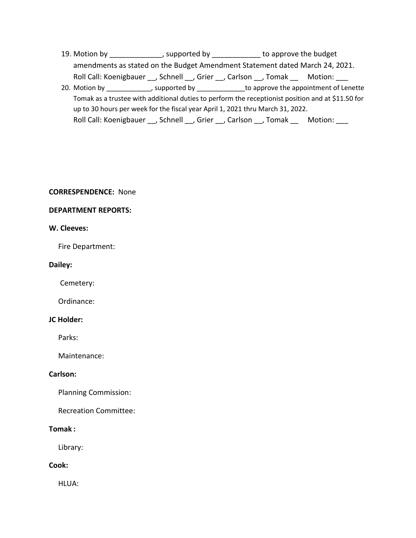19. Motion by \_\_\_\_\_\_\_\_\_\_\_\_\_, supported by \_\_\_\_\_\_\_\_\_\_\_\_ to approve the budget amendments as stated on the Budget Amendment Statement dated March 24, 2021. Roll Call: Koenigbauer \_\_, Schnell \_\_, Grier \_\_, Carlson \_\_, Tomak \_\_ Motion: \_\_\_ 20. Motion by \_\_\_\_\_\_\_\_\_\_\_, supported by \_\_\_\_\_\_\_\_\_\_\_\_\_\_to approve the appointment of Lenette

Tomak as a trustee with additional duties to perform the receptionist position and at \$11.50 for up to 30 hours per week for the fiscal year April 1, 2021 thru March 31, 2022. Roll Call: Koenigbauer \_\_, Schnell \_\_, Grier \_\_, Carlson \_\_, Tomak \_\_ Motion: \_\_\_

## **CORRESPENDENCE:** None

## **DEPARTMENT REPORTS:**

## **W. Cleeves:**

Fire Department:

## **Dailey:**

Cemetery:

Ordinance:

## **JC Holder:**

Parks:

Maintenance:

## **Carlson:**

Planning Commission:

Recreation Committee:

## **Tomak :**

Library:

## **Cook:**

HLUA: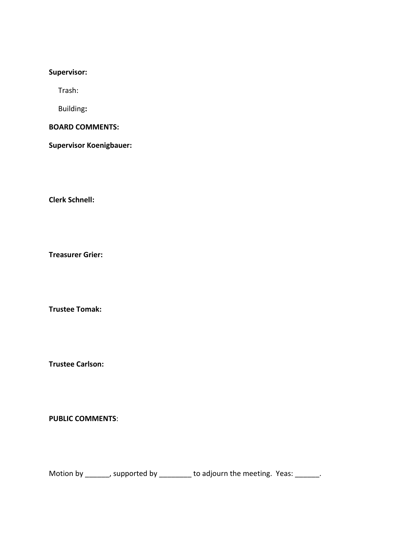## **Supervisor:**

Trash:

Building**:**

**BOARD COMMENTS:** 

**Supervisor Koenigbauer:**

**Clerk Schnell:** 

**Treasurer Grier:**

**Trustee Tomak:**

**Trustee Carlson:**

**PUBLIC COMMENTS**:

Motion by \_\_\_\_\_\_, supported by \_\_\_\_\_\_\_\_ to adjourn the meeting. Yeas: \_\_\_\_\_\_.